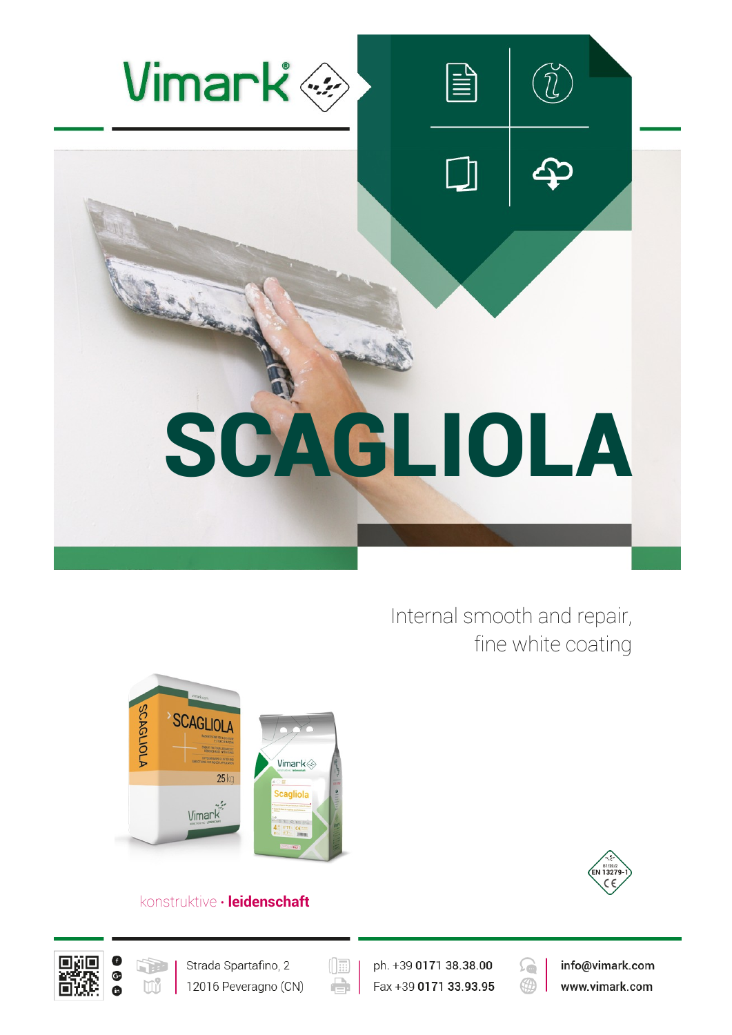

Internal smooth and repair, fine white coating



# konstruktive **∙ leidenschaft**







 $(\boxed{\mathbb{R}}$ e

ph. +39 0171 38.38.00 Fax +39 0171 33.93.95



info@vimark.com www.vimark.com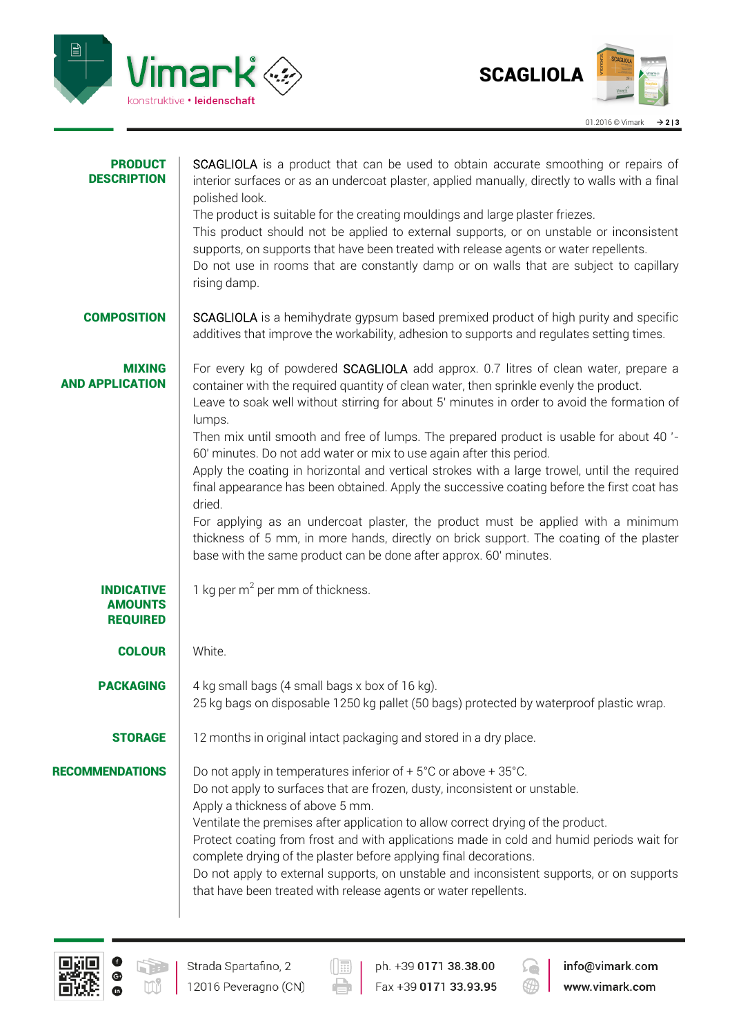



| <b>PRODUCT</b><br><b>DESCRIPTION</b>                   | SCAGLIOLA is a product that can be used to obtain accurate smoothing or repairs of<br>interior surfaces or as an undercoat plaster, applied manually, directly to walls with a final<br>polished look.<br>The product is suitable for the creating mouldings and large plaster friezes.<br>This product should not be applied to external supports, or on unstable or inconsistent<br>supports, on supports that have been treated with release agents or water repellents.<br>Do not use in rooms that are constantly damp or on walls that are subject to capillary<br>rising damp.                                                                                                                                                                                                                                                                                                                                |
|--------------------------------------------------------|----------------------------------------------------------------------------------------------------------------------------------------------------------------------------------------------------------------------------------------------------------------------------------------------------------------------------------------------------------------------------------------------------------------------------------------------------------------------------------------------------------------------------------------------------------------------------------------------------------------------------------------------------------------------------------------------------------------------------------------------------------------------------------------------------------------------------------------------------------------------------------------------------------------------|
| <b>COMPOSITION</b>                                     | SCAGLIOLA is a hemihydrate gypsum based premixed product of high purity and specific<br>additives that improve the workability, adhesion to supports and regulates setting times.                                                                                                                                                                                                                                                                                                                                                                                                                                                                                                                                                                                                                                                                                                                                    |
| <b>MIXING</b><br><b>AND APPLICATION</b>                | For every kg of powdered SCAGLIOLA add approx. 0.7 litres of clean water, prepare a<br>container with the required quantity of clean water, then sprinkle evenly the product.<br>Leave to soak well without stirring for about 5' minutes in order to avoid the formation of<br>lumps.<br>Then mix until smooth and free of lumps. The prepared product is usable for about 40'-<br>60' minutes. Do not add water or mix to use again after this period.<br>Apply the coating in horizontal and vertical strokes with a large trowel, until the required<br>final appearance has been obtained. Apply the successive coating before the first coat has<br>dried.<br>For applying as an undercoat plaster, the product must be applied with a minimum<br>thickness of 5 mm, in more hands, directly on brick support. The coating of the plaster<br>base with the same product can be done after approx. 60' minutes. |
| <b>INDICATIVE</b><br><b>AMOUNTS</b><br><b>REQUIRED</b> | 1 kg per $m^2$ per mm of thickness.                                                                                                                                                                                                                                                                                                                                                                                                                                                                                                                                                                                                                                                                                                                                                                                                                                                                                  |
| <b>COLOUR</b>                                          | White.                                                                                                                                                                                                                                                                                                                                                                                                                                                                                                                                                                                                                                                                                                                                                                                                                                                                                                               |
| <b>PACKAGING</b>                                       | 4 kg small bags (4 small bags x box of 16 kg).<br>25 kg bags on disposable 1250 kg pallet (50 bags) protected by waterproof plastic wrap.                                                                                                                                                                                                                                                                                                                                                                                                                                                                                                                                                                                                                                                                                                                                                                            |
| <b>STORAGE</b>                                         | 12 months in original intact packaging and stored in a dry place.                                                                                                                                                                                                                                                                                                                                                                                                                                                                                                                                                                                                                                                                                                                                                                                                                                                    |
| <b>RECOMMENDATIONS</b>                                 | Do not apply in temperatures inferior of $+5^{\circ}$ C or above $+35^{\circ}$ C.<br>Do not apply to surfaces that are frozen, dusty, inconsistent or unstable.<br>Apply a thickness of above 5 mm.<br>Ventilate the premises after application to allow correct drying of the product.<br>Protect coating from frost and with applications made in cold and humid periods wait for<br>complete drying of the plaster before applying final decorations.<br>Do not apply to external supports, on unstable and inconsistent supports, or on supports<br>that have been treated with release agents or water repellents.                                                                                                                                                                                                                                                                                              |



 $\left(\begin{matrix}\overline{1}\ \overline{1}\ \overline{1}\ \overline{1}\ \overline{1}\ \overline{1}\ \overline{1}\ \overline{1}\ \overline{1}\ \overline{1}\ \overline{1}\ \overline{1}\ \overline{1}\ \overline{1}\ \overline{1}\ \overline{1}\ \overline{1}\ \overline{1}\ \overline{1}\ \overline{1}\ \overline{1}\ \overline{1}\ \overline{1}\ \overline{1}\ \overline{1}\ \overline{1}\ \overline{1}\ \overline{1}\ \overline{1}\ \overline{1}\ \overline{1}\ \overline{1}\ \overline{1}\ \overline{1}\ \overline{1}\ \overline{$ 

 $\Rightarrow$ 

ph. +39 0171 38.38.00 Fax +39 0171 33.93.95



info@vimark.com www.vimark.com